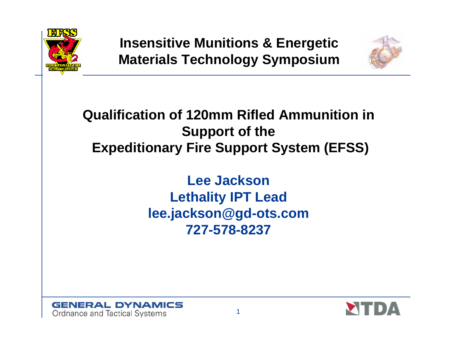

**Insensitive Munitions & Energetic Materials Technology Symposium**



#### **Qualification of 120mm Rifled Ammunition in Support of the Expeditionary Fire Support System (EFSS)**

**Lee Jackson Lethality IPT Lead lee.jackson@gd-ots.com 727-578-8237**



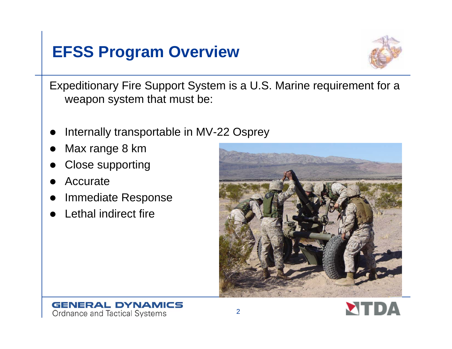#### **EFSS Program Overview**



Expeditionary Fire Support System is a U.S. Marine requirement for a weapon system that must be:

- $\bullet$ Internally transportable in MV-22 Osprey
- $\bullet$ Max range 8 km
- $\bullet$ Close supporting
- $\bullet$ Accurate
- $\bullet$ Immediate Response
- $\bullet$ Lethal indirect fire





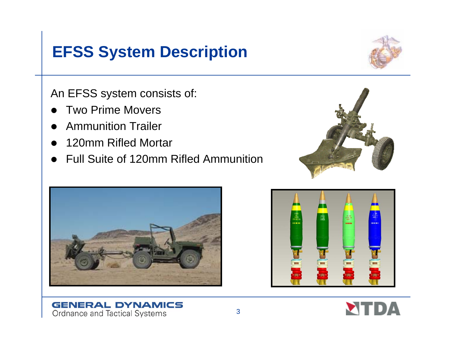#### **EFSS System Description**

An EFSS system consists of:

- $\bullet$ Two Prime Movers
- $\bullet$ Ammunition Trailer
- $\bullet$ 120mm Rifled Mortar
- $\bullet$ Full Suite of 120mm Rifled Ammunition





**GENERAL DYNAMICS** 

Ordnance and Tactical Systems





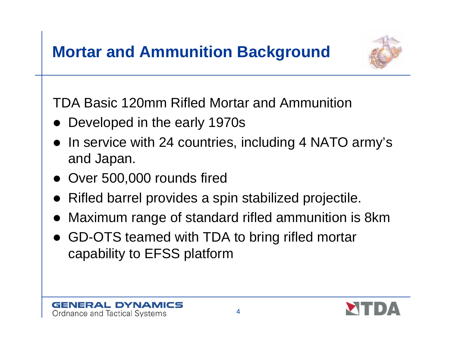

TDA Basic 120mm Rifled Mortar and Ammunition

- $\bullet$ Developed in the early 1970s
- In service with 24 countries, including 4 NATO army's and Japan.
- Over 500,000 rounds fired
- Rifled barrel provides a spin stabilized projectile.
- $\bullet$ Maximum range of standard rifled ammunition is 8km
- $\bullet$  GD-OTS teamed with TDA to bring rifled mortar capability to EFSS platform



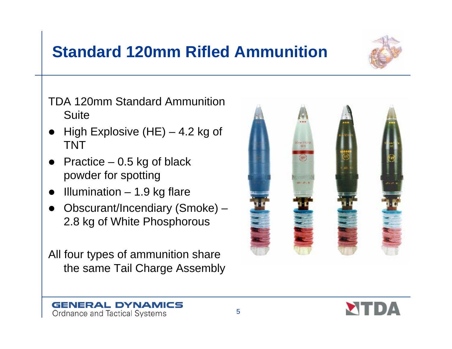## **Standard 120mm Rifled Ammunition**



- $\bullet$ High Explosive  $(HE) - 4.2$  kg of TNT
- $\bullet$  Practice – 0.5 kg of black powder for spotting
- O Illumination – 1.9 kg flare

Ordnance and Tactical Systems

 $\bullet$  Obscurant/Incendiary (Smoke) – 2.8 kg of White Phosphorous

All four types of ammunition share the same Tail Charge Assembly

5





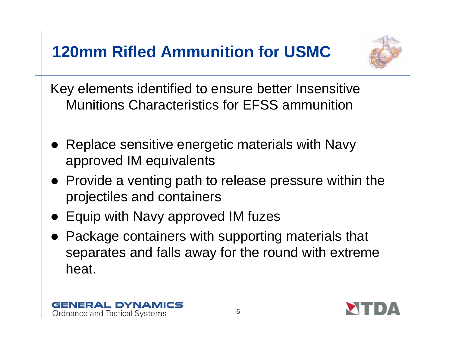# **120mm Rifled Ammunition for USMC**



Key elements identified to ensure better Insensitive Munitions Characteristics for EFSS ammunition

- $\bullet$  Replace sensitive energetic materials with Navy approved IM equivalents
- Provide a venting path to release pressure within the projectiles and containers
- Equip with Navy approved IM fuzes
- Package containers with supporting materials that separates and falls away for the round with extreme heat.



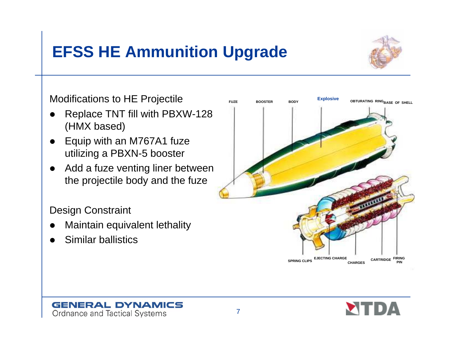# **EFSS HE Ammunition Upgrade**



Modifications to HE Projectile

- $\bullet$  Replace TNT fill with PBXW-128 (HMX based)
- $\bullet$  Equip with an M767A1 fuze utilizing a PBXN-5 booster
- $\bullet$  Add a fuze venting liner between the projectile body and the fuze

Design Constraint

 $\bullet$ Maintain equivalent lethality

**GENERAL DYNAMICS** 

Ordnance and Tactical Systems

 $\bullet$ Similar ballistics



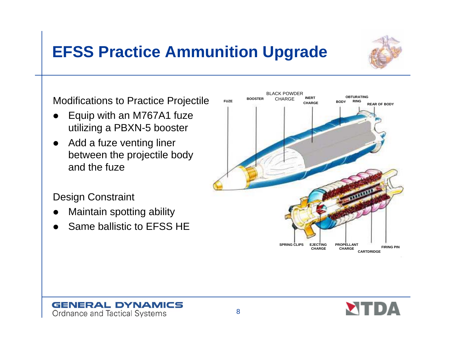# **EFSS Practice Ammunition Upgrade**



- $\bullet$  Equip with an M767A1 fuze utilizing a PBXN-5 booster
- $\bullet$  Add a fuze venting liner between the projectile body and the fuze

Design Constraint

- $\bullet$ Maintain spotting ability
- $\bullet$ Same ballistic to EFSS HE

**GENERAL DYNAMICS** 

Ordnance and Tactical Systems



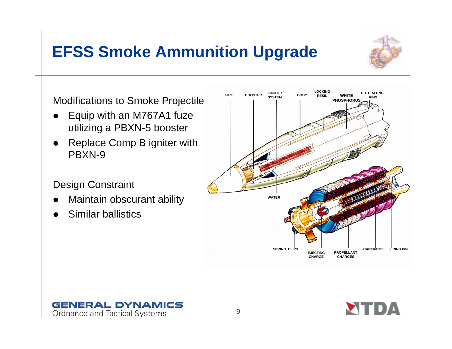# **EFSS Smoke Ammunition Upgrade**



Modifications to Smoke Projectile

- $\bullet$  Equip with an M767A1 fuze utilizing a PBXN-5 booster
- $\bullet$  Replace Comp B igniter with PBXN-9

#### Design Constraint

- $\bullet$ Maintain obscurant ability
- $\bullet$ Similar ballistics





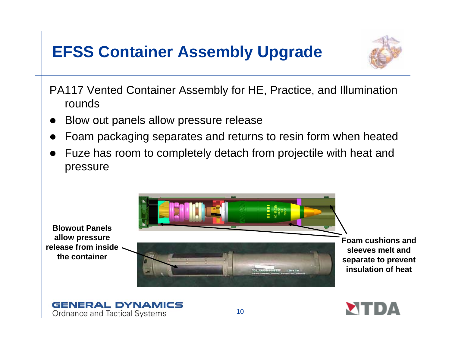## **EFSS Container Assembly Upgrade**



- PA117 Vented Container Assembly for HE, Practice, and Illumination rounds
- $\bullet$ Blow out panels allow pressure release
- $\bullet$ Foam packaging separates and returns to resin form when heated
- $\bullet$  Fuze has room to completely detach from projectile with heat and pressure





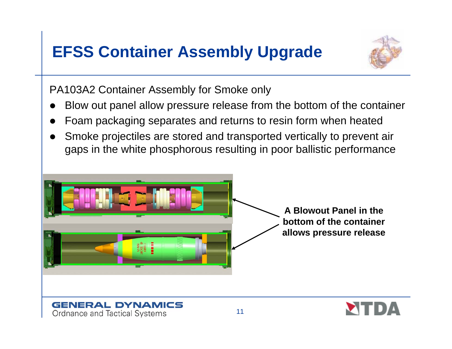## **EFSS Container Assembly Upgrade**



PA103A2 Container Assembly for Smoke only

Ordnance and Tactical Systems

- $\bullet$ Blow out panel allow pressure release from the bottom of the container
- $\bullet$ Foam packaging separates and returns to resin form when heated
- $\bullet$  Smoke projectiles are stored and transported vertically to prevent air gaps in the white phosphorous resulting in poor ballistic performance



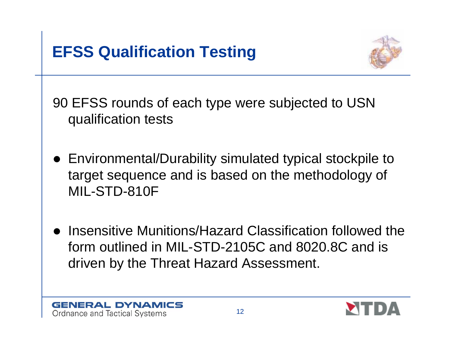

90 EFSS rounds of each type were subjected to USN qualification tests

- Environmental/Durability simulated typical stockpile to target sequence and is based on the methodology of MIL-STD-810F
- Insensitive Munitions/Hazard Classification followed the form outlined in MIL-STD-2105C and 8020.8C and is driven by the Threat Hazard Assessment.



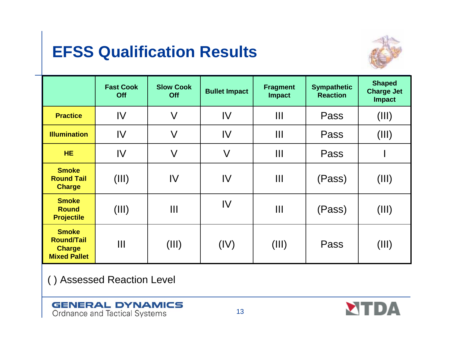## **EFSS Qualification Results**



|                                                                           | <b>Fast Cook</b><br>Off | <b>Slow Cook</b><br>Off | <b>Bullet Impact</b>    | <b>Fragment</b><br><b>Impact</b> | <b>Sympathetic</b><br><b>Reaction</b> | <b>Shaped</b><br><b>Charge Jet</b><br><b>Impact</b> |
|---------------------------------------------------------------------------|-------------------------|-------------------------|-------------------------|----------------------------------|---------------------------------------|-----------------------------------------------------|
| <b>Practice</b>                                                           | IV                      | $\vee$                  | IV                      | Ш                                | Pass                                  | (III)                                               |
| <b>Illumination</b>                                                       | IV                      | $\sqrt{}$               | $\mathsf{IV}$           | $\mathbf{III}$                   | Pass                                  | (III)                                               |
| <b>HE</b>                                                                 | IV                      | $\vee$                  | $\overline{\mathsf{V}}$ | Ш                                | Pass                                  |                                                     |
| <b>Smoke</b><br><b>Round Tail</b><br><b>Charge</b>                        | (III)                   | IV                      | IV                      | $\mathbf{III}$                   | (Pass)                                | (III)                                               |
| <b>Smoke</b><br><b>Round</b><br><b>Projectile</b>                         | (III)                   | Ш                       | IV                      | $\mathbf{III}$                   | (Pass)                                | (III)                                               |
| <b>Smoke</b><br><b>Round/Tail</b><br><b>Charge</b><br><b>Mixed Pallet</b> | Ш                       | (III)                   | (IV)                    | (III)                            | Pass                                  | (III)                                               |

( ) Assessed Reaction Level

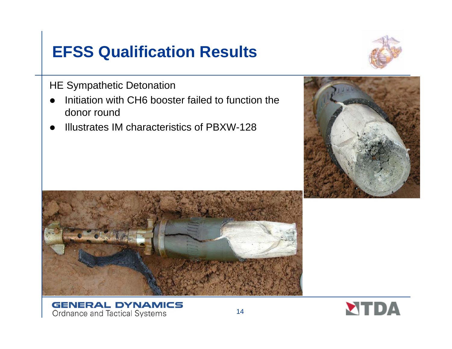## **EFSS Qualification Results**



HE Sympathetic Detonation

- $\bullet$  Initiation with CH6 booster failed to function the donor round
- $\bullet$ Illustrates IM characteristics of PBXW-128